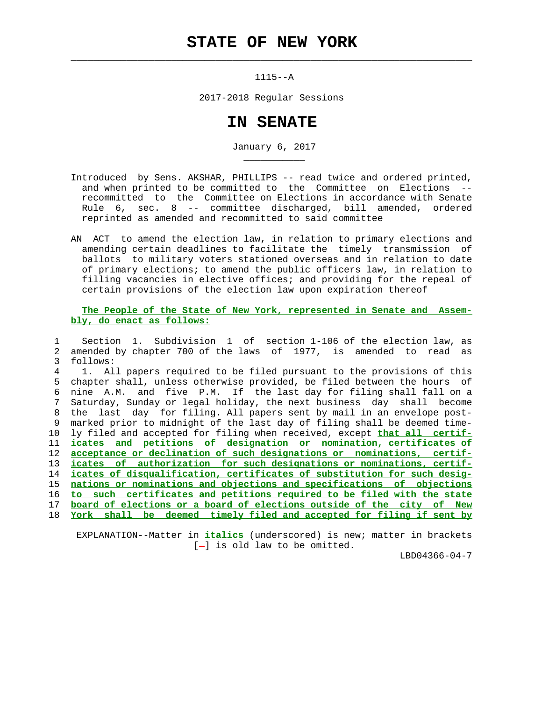## **STATE OF NEW YORK**

 $\mathcal{L}_\text{max} = \frac{1}{2} \sum_{i=1}^{n} \frac{1}{2} \sum_{i=1}^{n} \frac{1}{2} \sum_{i=1}^{n} \frac{1}{2} \sum_{i=1}^{n} \frac{1}{2} \sum_{i=1}^{n} \frac{1}{2} \sum_{i=1}^{n} \frac{1}{2} \sum_{i=1}^{n} \frac{1}{2} \sum_{i=1}^{n} \frac{1}{2} \sum_{i=1}^{n} \frac{1}{2} \sum_{i=1}^{n} \frac{1}{2} \sum_{i=1}^{n} \frac{1}{2} \sum_{i=1}^{n} \frac{1$ 

\_\_\_\_\_\_\_\_\_\_\_

1115--A

2017-2018 Regular Sessions

## **IN SENATE**

January 6, 2017

- Introduced by Sens. AKSHAR, PHILLIPS -- read twice and ordered printed, and when printed to be committed to the Committee on Elections recommitted to the Committee on Elections in accordance with Senate Rule 6, sec. 8 -- committee discharged, bill amended, ordered reprinted as amended and recommitted to said committee
- AN ACT to amend the election law, in relation to primary elections and amending certain deadlines to facilitate the timely transmission of ballots to military voters stationed overseas and in relation to date of primary elections; to amend the public officers law, in relation to filling vacancies in elective offices; and providing for the repeal of certain provisions of the election law upon expiration thereof

## **The People of the State of New York, represented in Senate and Assem bly, do enact as follows:**

 1 Section 1. Subdivision 1 of section 1-106 of the election law, as 2 amended by chapter 700 of the laws of 1977, is amended to read as 3 follows: 4 1. All papers required to be filed pursuant to the provisions of this 5 chapter shall, unless otherwise provided, be filed between the hours of 6 nine A.M. and five P.M. If the last day for filing shall fall on a 7 Saturday, Sunday or legal holiday, the next business day shall become 8 the last day for filing. All papers sent by mail in an envelope post- 9 marked prior to midnight of the last day of filing shall be deemed time- 10 ly filed and accepted for filing when received, except **that all certif-** 11 **icates and petitions of designation or nomination, certificates of** 12 **acceptance or declination of such designations or nominations, certif-** 13 **icates of authorization for such designations or nominations, certif-** 14 **icates of disqualification, certificates of substitution for such desig-** 15 **nations or nominations and objections and specifications of objections** 16 **to such certificates and petitions required to be filed with the state** 17 **board of elections or a board of elections outside of the city of New** 18 **York shall be deemed timely filed and accepted for filing if sent by**

 EXPLANATION--Matter in **italics** (underscored) is new; matter in brackets  $[-]$  is old law to be omitted.

LBD04366-04-7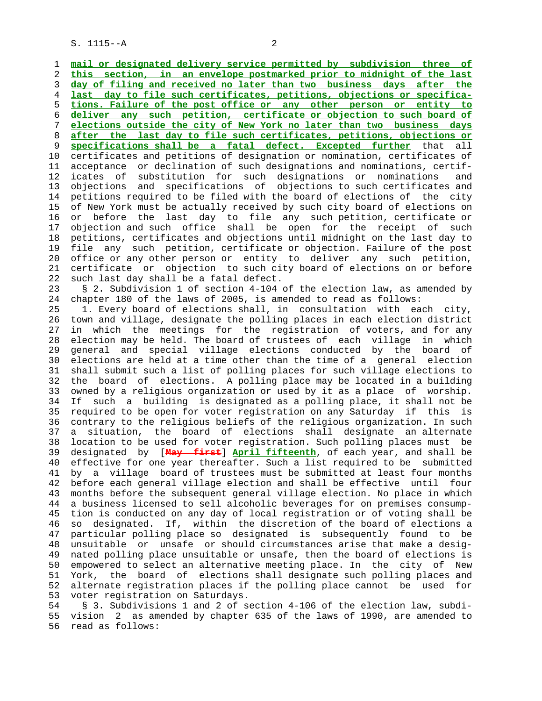S. 1115--A 2

 1 **mail or designated delivery service permitted by subdivision three of** 2 **this section, in an envelope postmarked prior to midnight of the last** 3 **day of filing and received no later than two business days after the** 4 **last day to file such certificates, petitions, objections or specifica-** 5 **tions. Failure of the post office or any other person or entity to** 6 **deliver any such petition, certificate or objection to such board of** 7 **elections outside the city of New York no later than two business days** 8 **after the last day to file such certificates, petitions, objections or** 9 **specifications shall be a fatal defect. Excepted further** that all 10 certificates and petitions of designation or nomination, certificates of 11 acceptance or declination of such designations and nominations, certif- 12 icates of substitution for such designations or nominations and 13 objections and specifications of objections to such certificates and 14 petitions required to be filed with the board of elections of the city 15 of New York must be actually received by such city board of elections on 16 or before the last day to file any such petition, certificate or 17 objection and such office shall be open for the receipt of such 18 petitions, certificates and objections until midnight on the last day to 19 file any such petition, certificate or objection. Failure of the post 20 office or any other person or entity to deliver any such petition, 21 certificate or objection to such city board of elections on or before 22 such last day shall be a fatal defect. 23 § 2. Subdivision 1 of section 4-104 of the election law, as amended by 24 chapter 180 of the laws of 2005, is amended to read as follows: 25 1. Every board of elections shall, in consultation with each city, 26 town and village, designate the polling places in each election district 27 in which the meetings for the registration of voters, and for any 28 election may be held. The board of trustees of each village in which 29 general and special village elections conducted by the board of 30 elections are held at a time other than the time of a general election 31 shall submit such a list of polling places for such village elections to 32 the board of elections. A polling place may be located in a building 33 owned by a religious organization or used by it as a place of worship. 34 If such a building is designated as a polling place, it shall not be 35 required to be open for voter registration on any Saturday if this is 36 contrary to the religious beliefs of the religious organization. In such 37 a situation, the board of elections shall designate an alternate 38 location to be used for voter registration. Such polling places must be 39 designated by [**May first**] **April fifteenth**, of each year, and shall be 40 effective for one year thereafter. Such a list required to be submitted 41 by a village board of trustees must be submitted at least four months 42 before each general village election and shall be effective until four 43 months before the subsequent general village election. No place in which 44 a business licensed to sell alcoholic beverages for on premises consump- 45 tion is conducted on any day of local registration or of voting shall be 46 so designated. If, within the discretion of the board of elections a 47 particular polling place so designated is subsequently found to be 48 unsuitable or unsafe or should circumstances arise that make a desig- 49 nated polling place unsuitable or unsafe, then the board of elections is 50 empowered to select an alternative meeting place. In the city of New 51 York, the board of elections shall designate such polling places and 52 alternate registration places if the polling place cannot be used for

53 voter registration on Saturdays.

 54 § 3. Subdivisions 1 and 2 of section 4-106 of the election law, subdi- 55 vision 2 as amended by chapter 635 of the laws of 1990, are amended to 56 read as follows: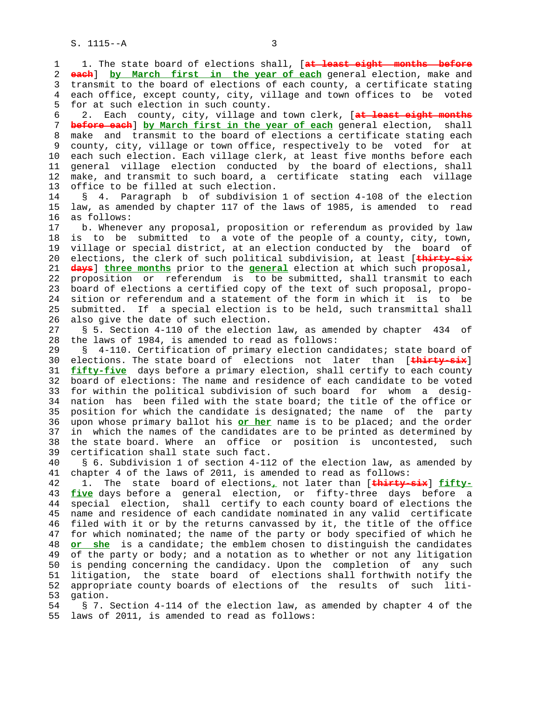1 1. The state board of elections shall, [**at least eight months before** 2 **each**] **by March first in the year of each** general election, make and 3 transmit to the board of elections of each county, a certificate stating 4 each office, except county, city, village and town offices to be voted 5 for at such election in such county. 6 2. Each county, city, village and town clerk, [**at least eight months** 7 **before each**] **by March first in the year of each** general election, shall 8 make and transmit to the board of elections a certificate stating each 9 county, city, village or town office, respectively to be voted for at 10 each such election. Each village clerk, at least five months before each 11 general village election conducted by the board of elections, shall 12 make, and transmit to such board, a certificate stating each village 13 office to be filled at such election. 14 § 4. Paragraph b of subdivision 1 of section 4-108 of the election 15 law, as amended by chapter 117 of the laws of 1985, is amended to read 16 as follows: 17 b. Whenever any proposal, proposition or referendum as provided by law 18 is to be submitted to a vote of the people of a county, city, town, 19 village or special district, at an election conducted by the board of 20 elections, the clerk of such political subdivision, at least [**thirty-six** 21 **days**] **three months** prior to the **general** election at which such proposal, 22 proposition or referendum is to be submitted, shall transmit to each 23 board of elections a certified copy of the text of such proposal, propo- 24 sition or referendum and a statement of the form in which it is to be 25 submitted. If a special election is to be held, such transmittal shall 26 also give the date of such election. 27 § 5. Section 4-110 of the election law, as amended by chapter 434 of 28 the laws of 1984, is amended to read as follows: 29 § 4-110. Certification of primary election candidates; state board of 30 elections. The state board of elections not later than [**thirty-six**] 31 **fifty-five** days before a primary election, shall certify to each county 32 board of elections: The name and residence of each candidate to be voted 33 for within the political subdivision of such board for whom a desig- 34 nation has been filed with the state board; the title of the office or 35 position for which the candidate is designated; the name of the party 36 upon whose primary ballot his **or her** name is to be placed; and the order 37 in which the names of the candidates are to be printed as determined by 38 the state board. Where an office or position is uncontested, such 39 certification shall state such fact. 40 § 6. Subdivision 1 of section 4-112 of the election law, as amended by 41 chapter 4 of the laws of 2011, is amended to read as follows: 42 1. The state board of elections**,** not later than [**thirty-six**] **fifty-** 43 **five** days before a general election, or fifty-three days before a 44 special election, shall certify to each county board of elections the 45 name and residence of each candidate nominated in any valid certificate 46 filed with it or by the returns canvassed by it, the title of the office 47 for which nominated; the name of the party or body specified of which he 48 **or she** is a candidate; the emblem chosen to distinguish the candidates 49 of the party or body; and a notation as to whether or not any litigation 50 is pending concerning the candidacy. Upon the completion of any such 51 litigation, the state board of elections shall forthwith notify the 52 appropriate county boards of elections of the results of such liti- 53 gation. 54 § 7. Section 4-114 of the election law, as amended by chapter 4 of the 55 laws of 2011, is amended to read as follows: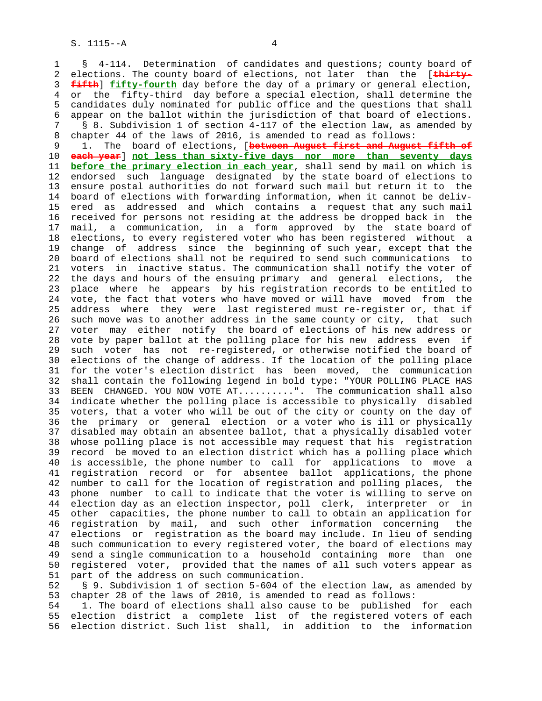1 § 4-114. Determination of candidates and questions; county board of 2 elections. The county board of elections, not later than the [**thirty-** 3 **fifth**] **fifty-fourth** day before the day of a primary or general election, 4 or the fifty-third day before a special election, shall determine the 5 candidates duly nominated for public office and the questions that shall 6 appear on the ballot within the jurisdiction of that board of elections. 7 § 8. Subdivision 1 of section 4-117 of the election law, as amended by 8 chapter 44 of the laws of 2016, is amended to read as follows:<br>9 1. The board of elections, [between August first and August

 9 1. The board of elections, [**between August first and August fifth of** 10 **each year**] **not less than sixty-five days nor more than seventy days** 11 **before the primary election in each year**, shall send by mail on which is 12 endorsed such language designated by the state board of elections to 13 ensure postal authorities do not forward such mail but return it to the 14 board of elections with forwarding information, when it cannot be deliv- 15 ered as addressed and which contains a request that any such mail 16 received for persons not residing at the address be dropped back in the 17 mail, a communication, in a form approved by the state board of 18 elections, to every registered voter who has been registered without a 19 change of address since the beginning of such year, except that the 20 board of elections shall not be required to send such communications to 21 voters in inactive status. The communication shall notify the voter of 22 the days and hours of the ensuing primary and general elections, the 23 place where he appears by his registration records to be entitled to 24 vote, the fact that voters who have moved or will have moved from the 25 address where they were last registered must re-register or, that if 26 such move was to another address in the same county or city, that such 27 voter may either notify the board of elections of his new address or 28 vote by paper ballot at the polling place for his new address even if 29 such voter has not re-registered, or otherwise notified the board of 30 elections of the change of address. If the location of the polling place 31 for the voter's election district has been moved, the communication 32 shall contain the following legend in bold type: "YOUR POLLING PLACE HAS 33 BEEN CHANGED. YOU NOW VOTE AT..........". The communication shall also 34 indicate whether the polling place is accessible to physically disabled 35 voters, that a voter who will be out of the city or county on the day of 36 the primary or general election or a voter who is ill or physically 37 disabled may obtain an absentee ballot, that a physically disabled voter 38 whose polling place is not accessible may request that his registration 39 record be moved to an election district which has a polling place which 40 is accessible, the phone number to call for applications to move a 41 registration record or for absentee ballot applications, the phone 42 number to call for the location of registration and polling places, the 43 phone number to call to indicate that the voter is willing to serve on 44 election day as an election inspector, poll clerk, interpreter or in 45 other capacities, the phone number to call to obtain an application for 46 registration by mail, and such other information concerning the 47 elections or registration as the board may include. In lieu of sending 48 such communication to every registered voter, the board of elections may 49 send a single communication to a household containing more than one 50 registered voter, provided that the names of all such voters appear as 51 part of the address on such communication.

 52 § 9. Subdivision 1 of section 5-604 of the election law, as amended by 53 chapter 28 of the laws of 2010, is amended to read as follows:

 54 1. The board of elections shall also cause to be published for each 55 election district a complete list of the registered voters of each 56 election district. Such list shall, in addition to the information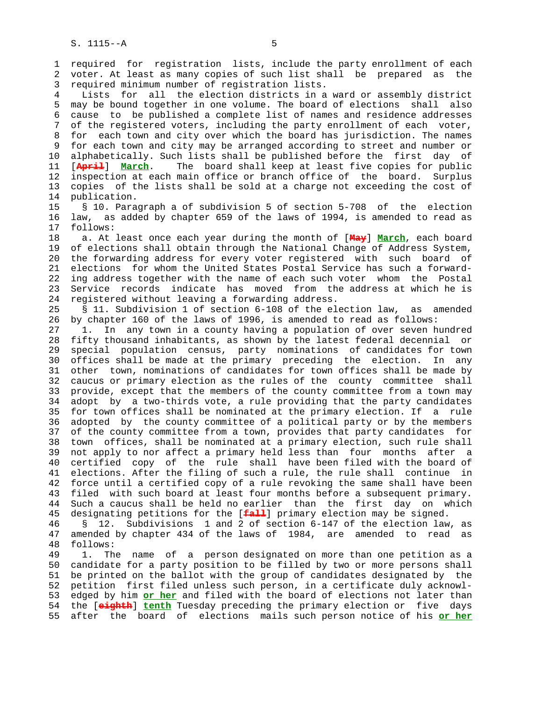1 required for registration lists, include the party enrollment of each 2 voter. At least as many copies of such list shall be prepared as the 3 required minimum number of registration lists.

 4 Lists for all the election districts in a ward or assembly district 5 may be bound together in one volume. The board of elections shall also 6 cause to be published a complete list of names and residence addresses 7 of the registered voters, including the party enrollment of each voter, 8 for each town and city over which the board has jurisdiction. The names 9 for each town and city may be arranged according to street and number or 10 alphabetically. Such lists shall be published before the first day of 11 [**April**] **March**. The board shall keep at least five copies for public 12 inspection at each main office or branch office of the board. Surplus 13 copies of the lists shall be sold at a charge not exceeding the cost of 14 publication.

 15 § 10. Paragraph a of subdivision 5 of section 5-708 of the election 16 law, as added by chapter 659 of the laws of 1994, is amended to read as 17 follows:

 18 a. At least once each year during the month of [**May**] **March**, each board 19 of elections shall obtain through the National Change of Address System, 20 the forwarding address for every voter registered with such board of 21 elections for whom the United States Postal Service has such a forward- 22 ing address together with the name of each such voter whom the Postal 23 Service records indicate has moved from the address at which he is 24 registered without leaving a forwarding address.

 25 § 11. Subdivision 1 of section 6-108 of the election law, as amended 26 by chapter 160 of the laws of 1996, is amended to read as follows:

 27 1. In any town in a county having a population of over seven hundred 28 fifty thousand inhabitants, as shown by the latest federal decennial or 29 special population census, party nominations of candidates for town 30 offices shall be made at the primary preceding the election. In any 31 other town, nominations of candidates for town offices shall be made by 32 caucus or primary election as the rules of the county committee shall 33 provide, except that the members of the county committee from a town may 34 adopt by a two-thirds vote, a rule providing that the party candidates 35 for town offices shall be nominated at the primary election. If a rule 36 adopted by the county committee of a political party or by the members 37 of the county committee from a town, provides that party candidates for 38 town offices, shall be nominated at a primary election, such rule shall 39 not apply to nor affect a primary held less than four months after a 40 certified copy of the rule shall have been filed with the board of 41 elections. After the filing of such a rule, the rule shall continue in 42 force until a certified copy of a rule revoking the same shall have been 43 filed with such board at least four months before a subsequent primary. 44 Such a caucus shall be held no earlier than the first day on which 45 designating petitions for the [**fall**] primary election may be signed.

 46 § 12. Subdivisions 1 and 2 of section 6-147 of the election law, as 47 amended by chapter 434 of the laws of 1984, are amended to read as 48 follows:

 49 1. The name of a person designated on more than one petition as a 50 candidate for a party position to be filled by two or more persons shall 51 be printed on the ballot with the group of candidates designated by the 52 petition first filed unless such person, in a certificate duly acknowl- 53 edged by him **or her** and filed with the board of elections not later than 54 the [**eighth**] **tenth** Tuesday preceding the primary election or five days 55 after the board of elections mails such person notice of his **or her**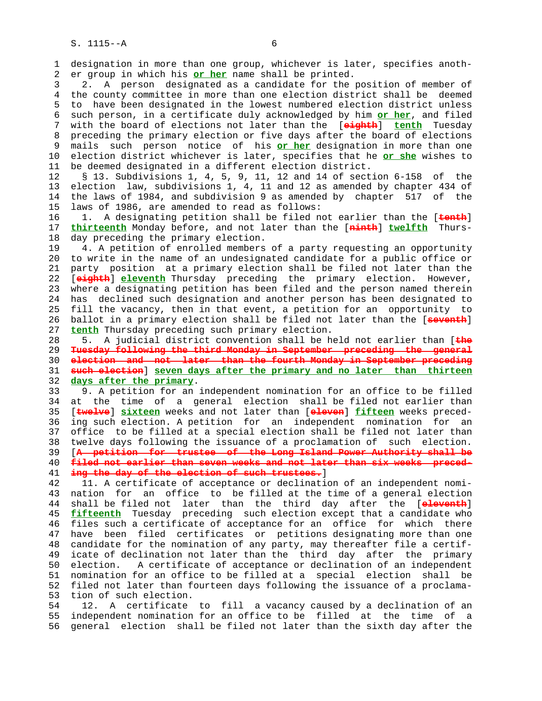1 designation in more than one group, whichever is later, specifies anoth- 2 er group in which his **or her** name shall be printed.

 3 2. A person designated as a candidate for the position of member of 4 the county committee in more than one election district shall be deemed 5 to have been designated in the lowest numbered election district unless 6 such person, in a certificate duly acknowledged by him **or her**, and filed 7 with the board of elections not later than the [**eighth**] **tenth** Tuesday 8 preceding the primary election or five days after the board of elections 9 mails such person notice of his **or her** designation in more than one 10 election district whichever is later, specifies that he **or she** wishes to 11 be deemed designated in a different election district.

 12 § 13. Subdivisions 1, 4, 5, 9, 11, 12 and 14 of section 6-158 of the 13 election law, subdivisions 1, 4, 11 and 12 as amended by chapter 434 of 14 the laws of 1984, and subdivision 9 as amended by chapter 517 of the 15 laws of 1986, are amended to read as follows:

 16 1. A designating petition shall be filed not earlier than the [**tenth**] 17 **thirteenth** Monday before, and not later than the [**ninth**] **twelfth** Thurs- 18 day preceding the primary election.

 19 4. A petition of enrolled members of a party requesting an opportunity 20 to write in the name of an undesignated candidate for a public office or 21 party position at a primary election shall be filed not later than the 22 [**eighth**] **eleventh** Thursday preceding the primary election. However, 23 where a designating petition has been filed and the person named therein 24 has declined such designation and another person has been designated to 25 fill the vacancy, then in that event, a petition for an opportunity to 26 ballot in a primary election shall be filed not later than the [**seventh**] 27 **tenth** Thursday preceding such primary election.

 28 5. A judicial district convention shall be held not earlier than [**the Tuesday following the third Monday in September preceding the general election and not later than the fourth Monday in September preceding such election**] **seven days after the primary and no later than thirteen days after the primary**.

 33 9. A petition for an independent nomination for an office to be filled 34 at the time of a general election shall be filed not earlier than 35 [**twelve**] **sixteen** weeks and not later than [**eleven**] **fifteen** weeks preced- 36 ing such election. A petition for an independent nomination for an 37 office to be filled at a special election shall be filed not later than 38 twelve days following the issuance of a proclamation of such election. 39 [**A petition for trustee of the Long Island Power Authority shall be** 40 **filed not earlier than seven weeks and not later than six weeks preced-** 41 **ing the day of the election of such trustees.**]

 42 11. A certificate of acceptance or declination of an independent nomi- 43 nation for an office to be filled at the time of a general election 44 shall be filed not later than the third day after the [**eleventh**] 45 **fifteenth** Tuesday preceding such election except that a candidate who 46 files such a certificate of acceptance for an office for which there 47 have been filed certificates or petitions designating more than one 48 candidate for the nomination of any party, may thereafter file a certif- 49 icate of declination not later than the third day after the primary 50 election. A certificate of acceptance or declination of an independent 51 nomination for an office to be filled at a special election shall be 52 filed not later than fourteen days following the issuance of a proclama- 53 tion of such election.

 54 12. A certificate to fill a vacancy caused by a declination of an 55 independent nomination for an office to be filled at the time of a 56 general election shall be filed not later than the sixth day after the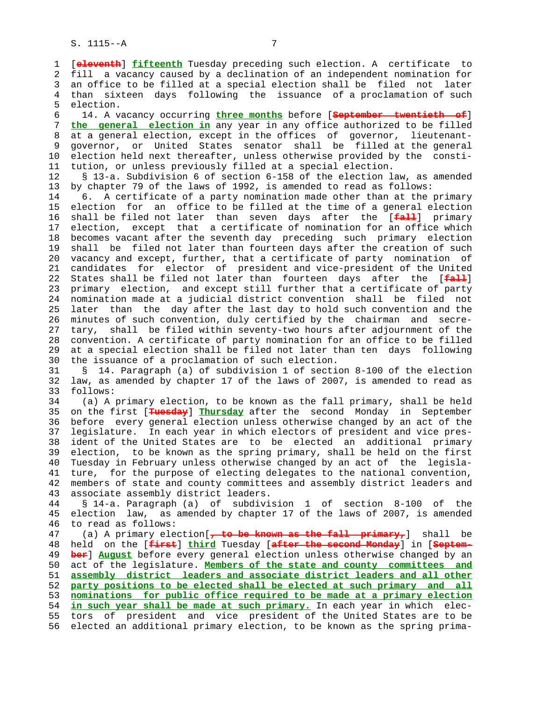1 [**eleventh**] **fifteenth** Tuesday preceding such election. A certificate to 2 fill a vacancy caused by a declination of an independent nomination for 3 an office to be filled at a special election shall be filed not later 4 than sixteen days following the issuance of a proclamation of such 5 election.

 6 14. A vacancy occurring **three months** before [**September twentieth of**] 7 **the general election in** any year in any office authorized to be filled 8 at a general election, except in the offices of governor, lieutenant-<br>9 governor, or United States senator shall be filled at the general 9 governor, or United States senator shall be filled at the general 10 election held next thereafter, unless otherwise provided by the consti- 11 tution, or unless previously filled at a special election.

 12 § 13-a. Subdivision 6 of section 6-158 of the election law, as amended 13 by chapter 79 of the laws of 1992, is amended to read as follows:

 14 6. A certificate of a party nomination made other than at the primary 15 election for an office to be filled at the time of a general election 16 shall be filed not later than seven days after the [**fall**] primary 17 election, except that a certificate of nomination for an office which 18 becomes vacant after the seventh day preceding such primary election 19 shall be filed not later than fourteen days after the creation of such 20 vacancy and except, further, that a certificate of party nomination of 21 candidates for elector of president and vice-president of the United 22 States shall be filed not later than fourteen days after the [**fall**] 23 primary election, and except still further that a certificate of party 24 nomination made at a judicial district convention shall be filed not 25 later than the day after the last day to hold such convention and the 26 minutes of such convention, duly certified by the chairman and secre- 27 tary, shall be filed within seventy-two hours after adjournment of the 28 convention. A certificate of party nomination for an office to be filled 29 at a special election shall be filed not later than ten days following 30 the issuance of a proclamation of such election.

 31 § 14. Paragraph (a) of subdivision 1 of section 8-100 of the election 32 law, as amended by chapter 17 of the laws of 2007, is amended to read as 33 follows:

 34 (a) A primary election, to be known as the fall primary, shall be held 35 on the first [**Tuesday**] **Thursday** after the second Monday in September 36 before every general election unless otherwise changed by an act of the 37 legislature. In each year in which electors of president and vice pres- 38 ident of the United States are to be elected an additional primary 39 election, to be known as the spring primary, shall be held on the first 40 Tuesday in February unless otherwise changed by an act of the legisla- 41 ture, for the purpose of electing delegates to the national convention, 42 members of state and county committees and assembly district leaders and 43 associate assembly district leaders.

 44 § 14-a. Paragraph (a) of subdivision 1 of section 8-100 of the 45 election law, as amended by chapter 17 of the laws of 2007, is amended 46 to read as follows:

 47 (a) A primary election[**, to be known as the fall primary,**] shall be 48 held on the [**first**] **third** Tuesday [**after the second Monday**] in [**Septem-** 49 **ber**] **August** before every general election unless otherwise changed by an 50 act of the legislature. **Members of the state and county committees and** 51 **assembly district leaders and associate district leaders and all other** 52 **party positions to be elected shall be elected at such primary and all** 53 **nominations for public office required to be made at a primary election** 54 **in such year shall be made at such primary.** In each year in which elec- 55 tors of president and vice president of the United States are to be 56 elected an additional primary election, to be known as the spring prima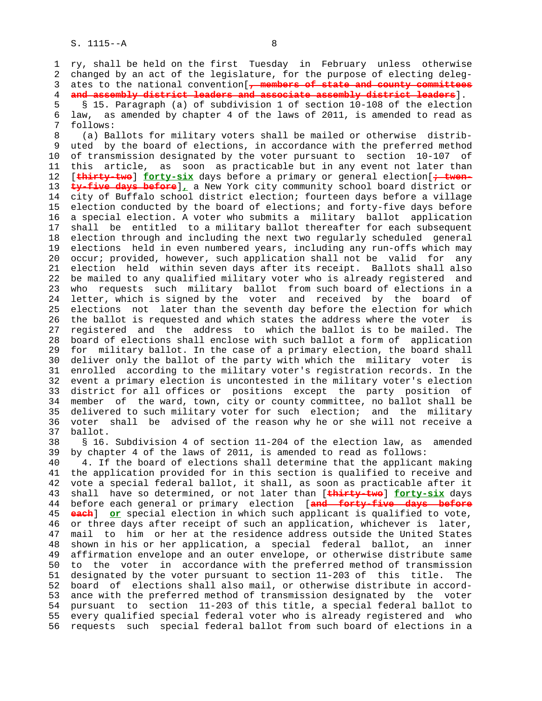1 ry, shall be held on the first Tuesday in February unless otherwise 2 changed by an act of the legislature, for the purpose of electing deleg- 3 ates to the national convention[**, members of state and county committees** 4 **and assembly district leaders and associate assembly district leaders**].

 5 § 15. Paragraph (a) of subdivision 1 of section 10-108 of the election 6 law, as amended by chapter 4 of the laws of 2011, is amended to read as 7 follows:

 8 (a) Ballots for military voters shall be mailed or otherwise distrib uted by the board of elections, in accordance with the preferred method 10 of transmission designated by the voter pursuant to section 10-107 of 11 this article, as soon as practicable but in any event not later than 12 [**thirty-two**] **forty-six** days before a primary or general election[**; twen-** 13 **ty-five days before**]**,** a New York city community school board district or 14 city of Buffalo school district election; fourteen days before a village 15 election conducted by the board of elections; and forty-five days before 16 a special election. A voter who submits a military ballot application 17 shall be entitled to a military ballot thereafter for each subsequent 18 election through and including the next two regularly scheduled general 19 elections held in even numbered years, including any run-offs which may 20 occur; provided, however, such application shall not be valid for any 21 election held within seven days after its receipt. Ballots shall also 22 be mailed to any qualified military voter who is already registered and 23 who requests such military ballot from such board of elections in a 24 letter, which is signed by the voter and received by the board of 25 elections not later than the seventh day before the election for which 26 the ballot is requested and which states the address where the voter is 27 registered and the address to which the ballot is to be mailed. The 28 board of elections shall enclose with such ballot a form of application 29 for military ballot. In the case of a primary election, the board shall 30 deliver only the ballot of the party with which the military voter is 31 enrolled according to the military voter's registration records. In the 32 event a primary election is uncontested in the military voter's election 33 district for all offices or positions except the party position of 34 member of the ward, town, city or county committee, no ballot shall be 35 delivered to such military voter for such election; and the military 36 voter shall be advised of the reason why he or she will not receive a 37 ballot.

 38 § 16. Subdivision 4 of section 11-204 of the election law, as amended 39 by chapter 4 of the laws of 2011, is amended to read as follows:

 40 4. If the board of elections shall determine that the applicant making 41 the application provided for in this section is qualified to receive and 42 vote a special federal ballot, it shall, as soon as practicable after it 43 shall have so determined, or not later than [**thirty-two**] **forty-six** days 44 before each general or primary election [**and forty-five days before** 45 **each**] **or** special election in which such applicant is qualified to vote, 46 or three days after receipt of such an application, whichever is later, 47 mail to him or her at the residence address outside the United States 48 shown in his or her application, a special federal ballot, an inner 49 affirmation envelope and an outer envelope, or otherwise distribute same 50 to the voter in accordance with the preferred method of transmission 51 designated by the voter pursuant to section 11-203 of this title. The 52 board of elections shall also mail, or otherwise distribute in accord- 53 ance with the preferred method of transmission designated by the voter 54 pursuant to section 11-203 of this title, a special federal ballot to 55 every qualified special federal voter who is already registered and who 56 requests such special federal ballot from such board of elections in a